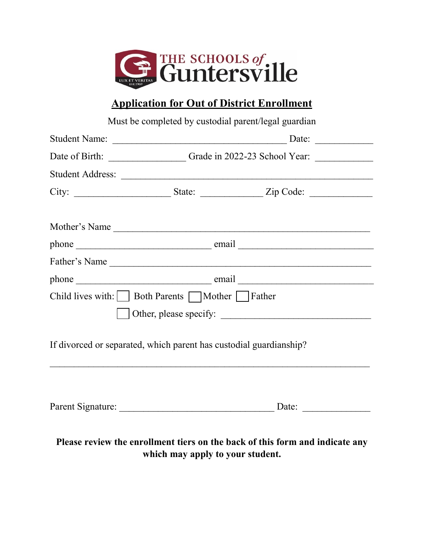

## **Application for Out of District Enrollment**

|                                                                    | Must be completed by custodial parent/legal guardian |                                                                                  |
|--------------------------------------------------------------------|------------------------------------------------------|----------------------------------------------------------------------------------|
|                                                                    |                                                      |                                                                                  |
|                                                                    | Date of Birth: Grade in 2022-23 School Year:         |                                                                                  |
|                                                                    |                                                      |                                                                                  |
|                                                                    |                                                      | City: _________________________State: _________________Zip Code: _______________ |
|                                                                    |                                                      |                                                                                  |
|                                                                    |                                                      |                                                                                  |
|                                                                    |                                                      | Father's Name                                                                    |
|                                                                    |                                                      |                                                                                  |
| Child lives with: Soth Parents Mother Father                       |                                                      |                                                                                  |
|                                                                    |                                                      |                                                                                  |
| If divorced or separated, which parent has custodial guardianship? |                                                      |                                                                                  |
|                                                                    |                                                      |                                                                                  |
|                                                                    | which may apply to your student.                     | Please review the enrollment tiers on the back of this form and indicate any     |